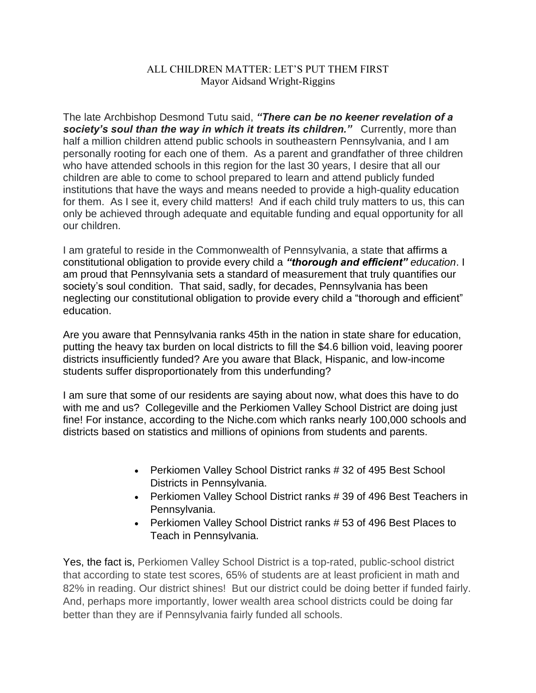## ALL CHILDREN MATTER: LET'S PUT THEM FIRST Mayor Aidsand Wright-Riggins

The late Archbishop Desmond Tutu said, *"There can be no keener revelation of a society's soul than the way in which it treats its children."* Currently, more than half a million children attend public schools in southeastern Pennsylvania, and I am personally rooting for each one of them. As a parent and grandfather of three children who have attended schools in this region for the last 30 years, I desire that all our children are able to come to school prepared to learn and attend publicly funded institutions that have the ways and means needed to provide a high-quality education for them. As I see it, every child matters! And if each child truly matters to us, this can only be achieved through adequate and equitable funding and equal opportunity for all our children.

I am grateful to reside in the Commonwealth of Pennsylvania, a state that affirms a constitutional obligation to provide every child a *"thorough and efficient" education*. I am proud that Pennsylvania sets a standard of measurement that truly quantifies our society's soul condition. That said, sadly, for decades, Pennsylvania has been neglecting our constitutional obligation to provide every child a "thorough and efficient" education.

Are you aware that Pennsylvania ranks 45th in the nation in state share for education, putting the heavy tax burden on local districts to fill the \$4.6 billion void, leaving poorer districts insufficiently funded? Are you aware that Black, Hispanic, and low-income students suffer disproportionately from this underfunding?

I am sure that some of our residents are saying about now, what does this have to do with me and us? Collegeville and the Perkiomen Valley School District are doing just fine! For instance, according to the Niche.com which ranks nearly 100,000 schools and districts based on statistics and millions of opinions from students and parents.

- Perkiomen Valley School District ranks #32 of 495 Best School Districts in Pennsylvania.
- Perkiomen Valley School District ranks # 39 of 496 Best Teachers in Pennsylvania.
- Perkiomen Valley School District ranks # 53 of 496 Best Places to Teach in Pennsylvania.

Yes, the fact is, Perkiomen Valley School District is a top-rated, public-school district that according to state test scores, 65% of students are at least proficient in math and 82% in reading. Our district shines! But our district could be doing better if funded fairly. And, perhaps more importantly, lower wealth area school districts could be doing far better than they are if Pennsylvania fairly funded all schools.